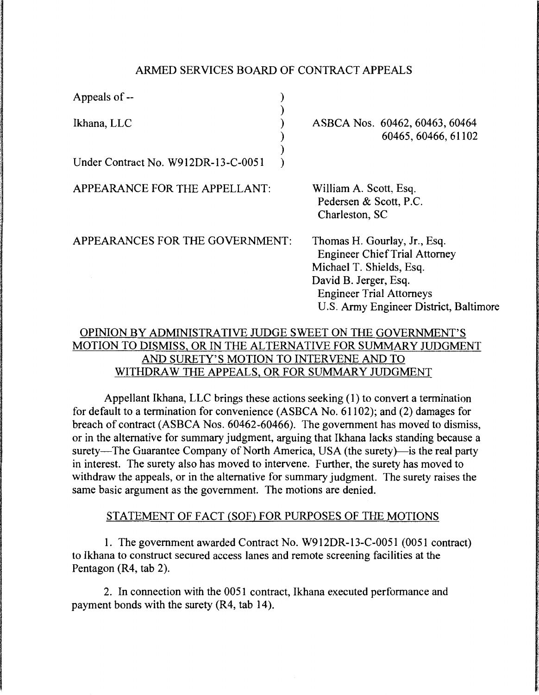### ARMED SERVICES BOARD OF CONTRACT APPEALS

| Appeals of --                                      |                                                                                                                                                                                                        |
|----------------------------------------------------|--------------------------------------------------------------------------------------------------------------------------------------------------------------------------------------------------------|
| Ikhana, LLC<br>Under Contract No. W912DR-13-C-0051 | ASBCA Nos. 60462, 60463, 60464<br>60465, 60466, 61102                                                                                                                                                  |
| APPEARANCE FOR THE APPELLANT:                      | William A. Scott, Esq.<br>Pedersen & Scott, P.C.<br>Charleston, SC                                                                                                                                     |
| APPEARANCES FOR THE GOVERNMENT:                    | Thomas H. Gourlay, Jr., Esq.<br><b>Engineer Chief Trial Attorney</b><br>Michael T. Shields, Esq.<br>David B. Jerger, Esq.<br><b>Engineer Trial Attorneys</b><br>U.S. Army Engineer District, Baltimore |

# OPINION BY ADMINISTRATIVE JUDGE SWEET ON THE GOVERNMENT'S MOTION TO DISMISS, OR IN THE ALTERNATIVE FOR SUMMARY JUDGMENT AND SURETY'S MOTION TO INTERVENE AND TO WITHDRAW THE APPEALS, OR FOR SUMMARY JUDGMENT

Appellant Ikhana, LLC brings these actions seeking  $(1)$  to convert a termination for default to a termination for convenience (ASBCA No. 61102); and (2) damages for breach of contract (ASBCA Nos. 60462-60466). The government has moved to dismiss, or in the alternative for summary judgment, arguing that Ikhana lacks standing because a surety-The Guarantee Company of North America, USA (the surety)- is the real party in interest. The surety also has moved to intervene. Further, the surety has moved to withdraw the appeals, or in the alternative for summary judgment. The surety raises the same basic argument as the government. The motions are denied.

# STATEMENT OF FACT (SOF) FOR PURPOSES OF THE MOTIONS

1. The government awarded Contract No. W912DR-13-C-0051 (0051 contract) to Ikhana to construct secured access lanes and remote screening facilities at the Pentagon (R4, tab 2).

2. In connection with the 0051 contract, Ikhana executed performance and payment bonds with the surety (R4, tab 14).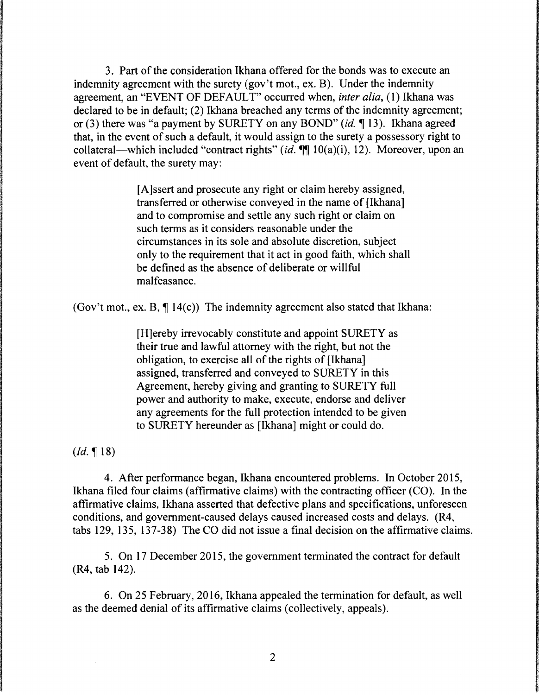3. Part of the consideration Ikhana offered for the bonds was to execute an indemnity agreement with the surety (gov't mot., ex. B). Under the indemnity agreement, an "EVENT OF DEFAULT" occurred when, *inter alia*, (1) Ikhana was declared to be in default; (2) Ikhana breached any terms of the indemnity agreement; or (3) there was "a payment by SURETY on any BOND" (id.  $\P$  13). Ikhana agreed that, in the event of such a default, it would assign to the surety a possessory right to collateral—which included "contract rights" (id.  $\P\P$  10(a)(i), 12). Moreover, upon an event of default, the surety may:

> [A] ssert and prosecute any right or claim hereby assigned, transferred or otherwise conveyed in the name of [Ikhana] and to compromise and settle any such right or claim on such terms as it considers reasonable under the circumstances in its sole and absolute discretion, subject only to the requirement that it act in good faith, which shall be defined as the absence of deliberate or willful malfeasance.

(Gov't mot., ex. B,  $\P$  14(c)) The indemnity agreement also stated that Ikhana:

[H]ereby irrevocably constitute and appoint SURETY as their true and lawful attorney with the right, but not the obligation, to exercise all of the rights of [Ikhana] assigned, transferred and conveyed to SURETY in this Agreement, hereby giving and granting to SURETY full power and authority to make, execute, endorse and deliver any agreements for the full protection intended to be given to SURETY hereunder as [Ikhana] might or could do.

 $(Id. \P 18)$ 

4. After performance began, Ikhana encountered problems. In October 2015, Ikhana filed four claims (affirmative claims) with the contracting officer (CO). In the affirmative claims, Ikhana asserted that defective plans and specifications, unforeseen conditions, and government-caused delays caused increased costs and delays. (R4, tabs 129, 135, 137-38) The CO did not issue a final decision on the affirmative claims.

5. On 17 December 2015, the government terminated the contract for default (R4, tab 142).

6. On 25 February, 2016, Ikhana appealed the termination for default, as well as the deemed denial of its affirmative claims (collectively, appeals).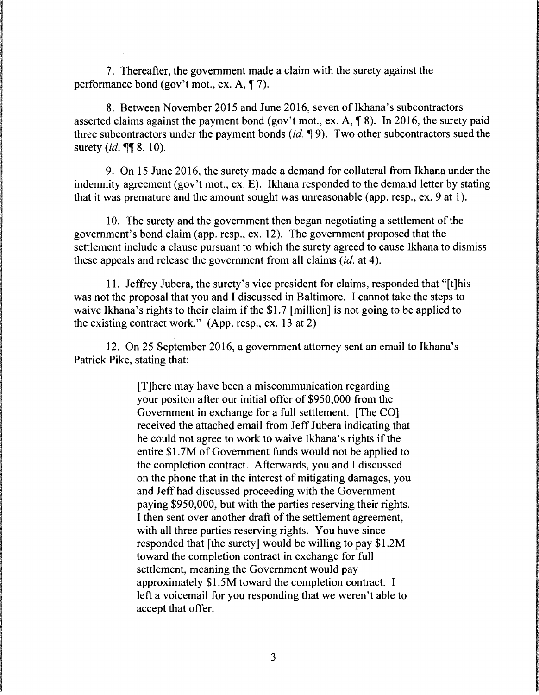7. Thereafter, the government made a claim with the surety against the performance bond (gov't mot., ex.  $A$ ,  $\P$  7).

8. Between November 2015 and June 2016, seven of Ikhana's subcontractors asserted claims against the payment bond (gov't mot., ex. A,  $\P$  8). In 2016, the surety paid three subcontractors under the payment bonds *(id.* **1** 9). Two other subcontractors sued the surety *(id.*, ¶¶ 8, 10).

9. On 15 June 2016, the surety made a demand for collateral from Ikhana under the indemnity agreement (gov't mot., ex. E). Ikhana responded to the demand letter by stating that it was premature and the amount sought was unreasonable (app. resp., ex. 9 at 1).

10. The surety and the government then began negotiating a settlement of the government's bond claim (app. resp., ex. 12). The government proposed that the settlement include a clause pursuant to which the surety agreed to cause Ikhana to dismiss these appeals and release the government from all claims *(id.* at 4 ).

11. Jeffrey Jubera, the surety's vice president for claims, responded that "[t]his was not the proposal that you and I discussed in Baltimore. I cannot take the steps to waive Ikhana's rights to their claim if the \$1.7 [million] is not going to be applied to the existing contract work." (App. resp., ex. 13 at 2)

12. On 25 September 2016, a government attorney sent an email to Ikhana's Patrick Pike, stating that:

> [T]here may have been a miscommunication regarding your positon after our initial offer of \$950,000 from the Government in exchange for a full settlement. [The CO] received the attached email from Jeff Jubera indicating that he could not agree to work to waive Ikhana's rights if the entire \$1. 7M of Government funds would not be applied to the completion contract. Afterwards, you and I discussed on the phone that in the interest of mitigating damages, you and Jeff had discussed proceeding with the Government paying \$950,000, but with the parties reserving their rights. I then sent over another draft of the settlement agreement, with all three parties reserving rights. You have since responded that [the surety] would be willing to pay \$1.2M toward the completion contract in exchange for full settlement, meaning the Government would pay approximately \$1.5M toward the completion contract. I left a voicemail for you responding that we weren't able to accept that offer.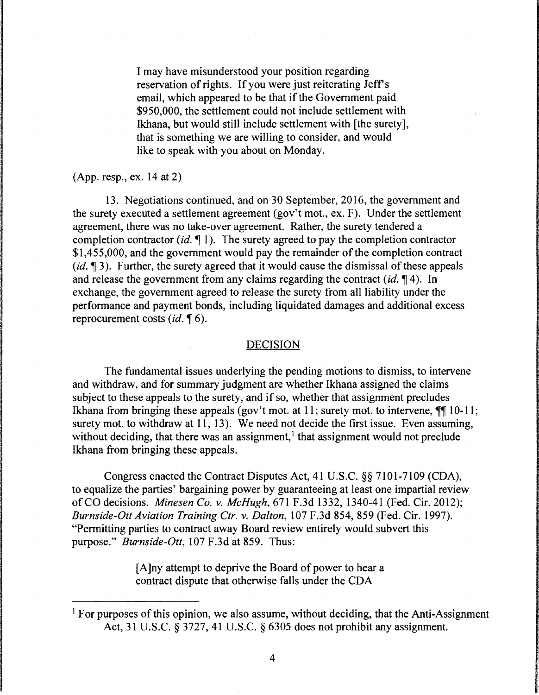I may have misunderstood your position regarding reservation of rights. If you were just reiterating Jeff's email, which appeared to be that if the Government paid \$950,000, the settlement could not include settlement with Ikhana, but would still include settlement with [the surety], that is something we are willing to consider, and would like to speak with you about on Monday.

(App. resp., ex. 14 at 2)

13. Negotiations continued, and on 30 September, 2016, the government and the surety executed a settlement agreement (gov't mot., ex. F). Under the settlement agreement, there was no take-over agreement. Rather, the surety tendered a completion contractor *(id.* 1). The surety agreed to pay the completion contractor \$1,455,000, and the government would pay the remainder of the completion contract (*id.*  $\P$ 3). Further, the surety agreed that it would cause the dismissal of these appeals and release the government from any claims regarding the contract  $(id, \P 4)$ . In exchange, the government agreed to release the surety from all liability under the performance and payment bonds, including liquidated damages and additional excess reprocurement costs *(id.* 16).

#### DECISION

The fundamental issues underlying the pending motions to dismiss, to intervene and withdraw, and for summary judgment are whether Ikhana assigned the claims subject to these appeals to the surety, and if so, whether that assignment precludes Ikhana from bringing these appeals (gov't mot. at 11; surety mot. to intervene,  $\P\P$  10-11; surety mot. to withdraw at 11, 13). We need not decide the first issue. Even assuming, without deciding, that there was an assignment, $<sup>1</sup>$  that assignment would not preclude</sup> Ikhana from bringing these appeals.

Congress enacted the Contract Disputes Act, 41 U.S.C. §§ 7101-7109 (CDA), to equalize the parties' bargaining power by guaranteeing at least one impartial review of CO decisions. *Minesen Co. v. McHugh,* 671 F.3d 1332, 1340-41 (Fed. Cir. 2012); *Burnside-Ott Aviation Training Ctr. v. Dalton,* 107 F.3d 854, 859 (Fed. Cir. 1997). "Permitting parties to contract away Board review entirely would subvert this purpose." *Burnside-Ott,* 107 F.3d at 859. Thus:

> [A ]ny attempt to deprive the Board of power to hear a contract dispute that otherwise falls under the CDA

<sup>&</sup>lt;sup>1</sup> For purposes of this opinion, we also assume, without deciding, that the Anti-Assignment Act, 31 U.S.C. § 3727, 41 U.S.C. § 6305 does not prohibit any assignment.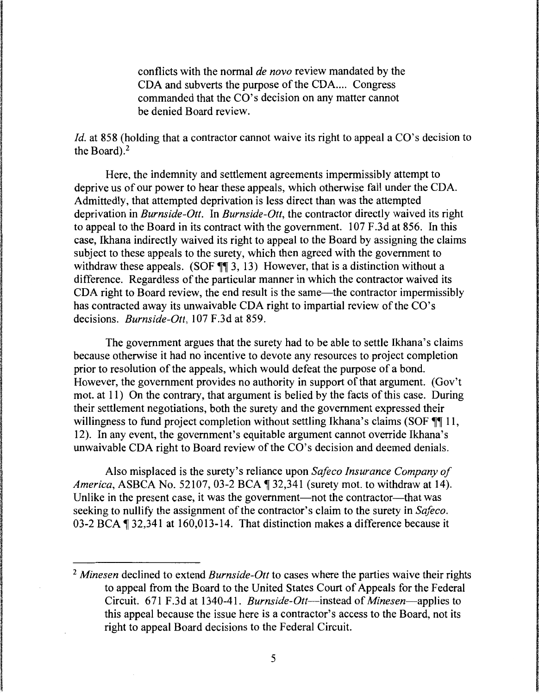conflicts with the normal *de novo* review mandated by the CDA and subverts the purpose of the CDA.... Congress commanded that the CO's decision on any matter cannot be denied Board review.

*Id.* at 858 (holding that a contractor cannot waive its right to appeal a CO's decision to the Board). $<sup>2</sup>$ </sup>

Here, the indemnity and settlement agreements impermissibly attempt to deprive us of our power to hear these appeals, which otherwise fall under the CDA. Admittedly, that attempted deprivation is less direct than was the attempted deprivation in *Burnside-Ott.* In *Burnside-Ott,* the contractor directly waived its right to appeal to the Board in its contract with the government. 107 F .3d at 856. In this case, Ikhana indirectly waived its right to appeal to the Board by assigning the claims subject to these appeals to the surety, which then agreed with the government to withdraw these appeals. (SOF  $\P\P$  3, 13) However, that is a distinction without a difference. Regardless of the particular manner in which the contractor waived its CDA right to Board review, the end result is the same—the contractor impermissibly has contracted away its unwaivable CDA right to impartial review of the CO's decisions. *Burnside-Ott,* 107 F.3d at 859.

The government argues that the surety had to be able to settle Ikhana's claims because otherwise it had no incentive to devote any resources to project completion prior to resolution of the appeals, which would defeat the purpose of a bond. However, the government provides no authority in support of that argument. (Gov't mot. at 11) On the contrary, that argument is belied by the facts of this case. During their settlement negotiations, both the surety and the government expressed their willingness to fund project completion without settling Ikhana's claims (SOF  $\P\P$  11, 12). In any event, the government's equitable argument cannot override Ikhana's unwaivable CDA right to Board review of the CO's decision and deemed denials.

Also misplaced is the surety's reliance upon *Safeco Insurance Company of America, ASBCA No. 52107, 03-2 BCA* 1 32,341 (surety mot. to withdraw at 14). Unlike in the present case, it was the government—not the contractor—that was seeking to nullify the assignment of the contractor's claim to the surety in *Safeco.*  03-2 BCA  $\P$  32,341 at 160,013-14. That distinction makes a difference because it

<sup>2</sup>*Minesen* declined to extend *Burnside-Ott* to cases where the parties waive their rights to appeal from the Board to the United States Court of Appeals for the Federal Circuit. 671 F.3d at 1340-41. *Burnside-Ott-instead* of *Minesen-applies* to this appeal because the issue here is a contractor's access to the Board, not its right to appeal Board decisions to the Federal Circuit.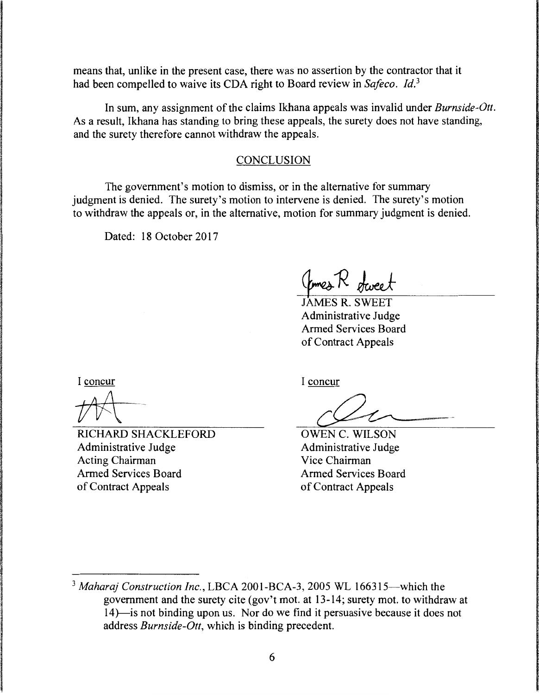means that, unlike in the present case, there was no assertion by the contractor that it had been compelled to waive its CDA right to Board review in *Safeco. ld. <sup>3</sup>*

In sum, any assignment of the claims Ikhana appeals was invalid under *Burnside-Ott.*  As a result, Ikhana has standing to bring these appeals, the surety does not have standing, and the surety therefore cannot withdraw the appeals.

#### **CONCLUSION**

The government's motion to dismiss, or in the alternative for summary judgment is denied. The surety's motion to intervene is denied. The surety's motion to withdraw the appeals or, in the alternative, motion for summary judgment is denied.

Dated: 18 October 2017

JAMES R. SWEET Administrative Judge Armed Services Board of Contract Appeals

I concur

RICHARD SHACKLEFORD Administrative Judge Acting Chairman Armed Services Board of Contract Appeals

I concur

OWEN C. WILSON Administrative Judge Vice Chairman Armed Services Board of Contract Appeals

<sup>&</sup>lt;sup>3</sup> Maharaj Construction Inc., LBCA 2001-BCA-3, 2005 WL 166315—which the government and the surety cite (gov't mot. at 13-14; surety mot. to withdraw at 14)-is not binding upon us. Nor do we find it persuasive because it does not address *Burnside-Ott,* which is binding precedent.